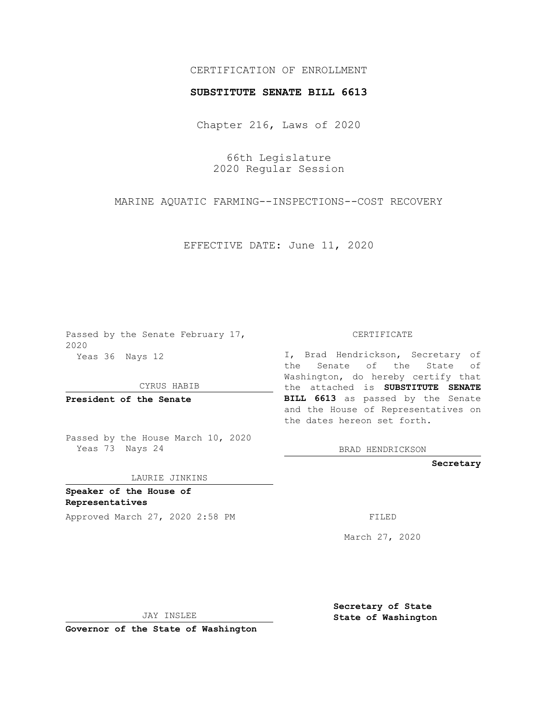## CERTIFICATION OF ENROLLMENT

## **SUBSTITUTE SENATE BILL 6613**

Chapter 216, Laws of 2020

66th Legislature 2020 Regular Session

MARINE AQUATIC FARMING--INSPECTIONS--COST RECOVERY

EFFECTIVE DATE: June 11, 2020

Passed by the Senate February 17, 2020 Yeas 36 Nays 12

CYRUS HABIB

**President of the Senate**

Passed by the House March 10, 2020 Yeas 73 Nays 24

LAURIE JINKINS

**Speaker of the House of Representatives**

Approved March 27, 2020 2:58 PM

CERTIFICATE

I, Brad Hendrickson, Secretary of the Senate of the State of Washington, do hereby certify that the attached is **SUBSTITUTE SENATE BILL 6613** as passed by the Senate and the House of Representatives on the dates hereon set forth.

BRAD HENDRICKSON

**Secretary**

March 27, 2020

JAY INSLEE

**Governor of the State of Washington**

**Secretary of State State of Washington**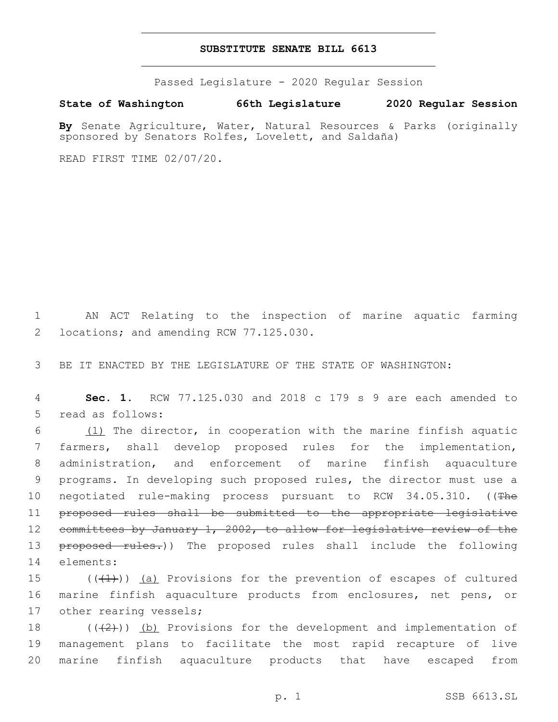## **SUBSTITUTE SENATE BILL 6613**

Passed Legislature - 2020 Regular Session

**State of Washington 66th Legislature 2020 Regular Session**

**By** Senate Agriculture, Water, Natural Resources & Parks (originally sponsored by Senators Rolfes, Lovelett, and Saldaña)

READ FIRST TIME 02/07/20.

1 AN ACT Relating to the inspection of marine aquatic farming 2 locations; and amending RCW 77.125.030.

3 BE IT ENACTED BY THE LEGISLATURE OF THE STATE OF WASHINGTON:

4 **Sec. 1.** RCW 77.125.030 and 2018 c 179 s 9 are each amended to 5 read as follows:

6  $(1)$  The director, in cooperation with the marine finfish aquatic 7 farmers, shall develop proposed rules for the implementation, 8 administration, and enforcement of marine finfish aquaculture 9 programs. In developing such proposed rules, the director must use a 10 negotiated rule-making process pursuant to RCW 34.05.310. ((The 11 proposed rules shall be submitted to the appropriate legislative 12 committees by January 1, 2002, to allow for legislative review of the 13 proposed rules.)) The proposed rules shall include the following 14 elements:

15  $((+1))$  (a) Provisions for the prevention of escapes of cultured 16 marine finfish aquaculture products from enclosures, net pens, or 17 other rearing vessels;

18  $((+2+))$  (b) Provisions for the development and implementation of 19 management plans to facilitate the most rapid recapture of live 20 marine finfish aquaculture products that have escaped from